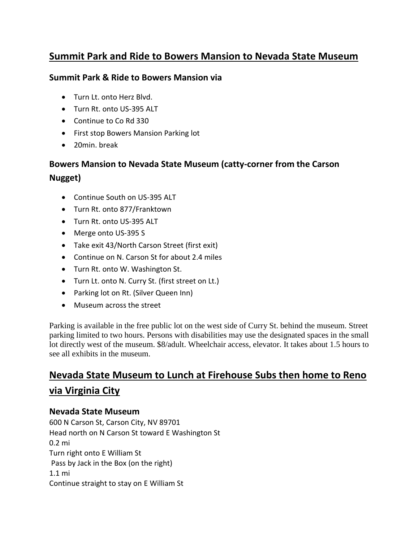## **Summit Park and Ride to Bowers Mansion to Nevada State Museum**

#### **Summit Park & Ride to Bowers Mansion via**

- Turn Lt. onto Herz Blvd.
- Turn Rt. onto US-395 ALT
- Continue to Co Rd 330
- First stop Bowers Mansion Parking lot
- 20min. break

# **Bowers Mansion to Nevada State Museum (catty-corner from the Carson Nugget)**

- Continue South on US-395 ALT
- Turn Rt. onto 877/Franktown
- Turn Rt. onto US-395 ALT
- Merge onto US-395 S
- Take exit 43/North Carson Street (first exit)
- Continue on N. Carson St for about 2.4 miles
- Turn Rt. onto W. Washington St.
- Turn Lt. onto N. Curry St. (first street on Lt.)
- Parking lot on Rt. (Silver Queen Inn)
- Museum across the street

Parking is available in the free public lot on the west side of Curry St. behind the museum. Street parking limited to two hours. Persons with disabilities may use the designated spaces in the small lot directly west of the museum. \$8/adult. Wheelchair access, elevator. It takes about 1.5 hours to see all exhibits in the museum.

# **Nevada State Museum to Lunch at Firehouse Subs then home to Reno via Virginia City**

### **Nevada State Museum**

600 N Carson St, Carson City, NV 89701 Head north on N Carson St toward E Washington St 0.2 mi Turn right onto E William St Pass by Jack in the Box (on the right) 1.1 mi Continue straight to stay on E William St